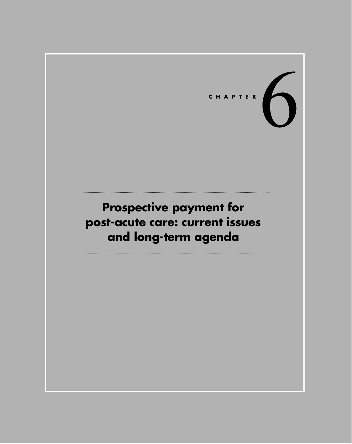# CHAPTER<br> **CHAPTER**

# **Prospective payment for post-acute care: current issues and long-term agenda**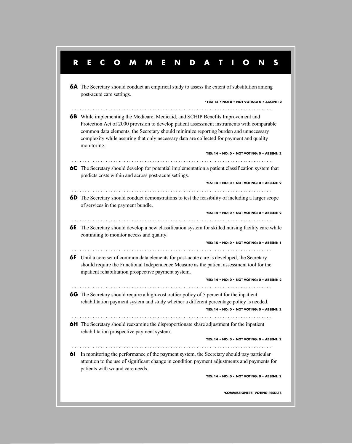# **RECOMMENDATIONS 6A** The Secretary should conduct an empirical study to assess the extent of substitution among post-acute care settings. . . . . . . . . . . . . . . . . . . . . . . . . . . . . . . . . . . . . . . . . . . . . . . . . . . . . . . . . . . . . . . . . . . . . . . . . . . . . . **6B** While implementing the Medicare, Medicaid, and SCHIP Benefits Improvement and Protection Act of 2000 provision to develop patient assessment instruments with comparable common data elements, the Secretary should minimize reporting burden and unnecessary complexity while assuring that only necessary data are collected for payment and quality monitoring. **YES: 14 • NO: 0 • NOT VOTING: 0 • ABSENT: 2** . . . . . . . . . . . . . . . . . . . . . . . . . . . . . . . . . . . . . . . . . . . . . . . . . . . . . . . . . . . . . . . . . . . . . . . . . . . . . **6C** The Secretary should develop for potential implementation a patient classification system that predicts costs within and across post-acute settings. **YES: 14 • NO: 0 • NOT VOTING: 0 • ABSENT: 2** . . . . . . . . . . . . . . . . . . . . . . . . . . . . . . . . . . . . . . . . . . . . . . . . . . . . . . . . . . . . . . . . . . . . . . . . . . . . . **6D** The Secretary should conduct demonstrations to test the feasibility of including a larger scope of services in the payment bundle. **YES: 14 • NO: 0 • NOT VOTING: 0 • ABSENT: 2** . . . . . . . . . . . . . . . . . . . . . . . . . . . . . . . . . . . . . . . . . . . . . . . . . . . . . . . . . . . . . . . . . . . . . . . . . . . . . **6E** The Secretary should develop a new classification system for skilled nursing facility care while continuing to monitor access and quality. **YES: 15 • NO: 0 • NOT VOTING: 0 • ABSENT: 1** . . . . . . . . . . . . . . . . . . . . . . . . . . . . . . . . . . . . . . . . . . . . . . . . . . . . . . . . . . . . . . . . . . . . . . . . . . . . . **6F** Until a core set of common data elements for post-acute care is developed, the Secretary should require the Functional Independence Measure as the patient assessment tool for the inpatient rehabilitation prospective payment system. **YES: 14 • NO: 0 • NOT VOTING: 0 • ABSENT: 2** . . . . . . . . . . . . . . . . . . . . . . . . . . . . . . . . . . . . . . . . . . . . . . . . . . . . . . . . . . . . . . . . . . . . . . . . . . . . . rehabilitation payment system and study whether a different percentage policy is needed. **YES: 14 • NO: 0 • NOT VOTING: 0 • ABSENT: 2** . . . . . . . . . . . . . . . . . . . . . . . . . . . . . . . . . . . . . . . . . . . . . . . . . . . . . . . . . . . . . . . . . . . . . . . . . . . . . **6H** The Secretary should reexamine the disproportionate share adjustment for the inpatient rehabilitation prospective payment system. **YES: 14 • NO: 0 • NOT VOTING: 0 • ABSENT: 2** . . . . . . . . . . . . . . . . . . . . . . . . . . . . . . . . . . . . . . . . . . . . . . . . . . . . . . . . . . . . . . . . . . . . . . . . . . . . . **6I** In monitoring the performance of the payment system, the Secretary should pay particular attention to the use of significant change in condition payment adjustments and payments for patients with wound care needs. **YES: 14 • NO: 0 • NOT VOTING: 0 • ABSENT: 2 \*COMMISSIONERS' VOTING RESULTS 6G** The Secretary should require a high-cost outlier policy of 5 percent for the inpatient **\*YES: 14 • NO: 0 • NOT VOTING: 0 • ABSENT: 2**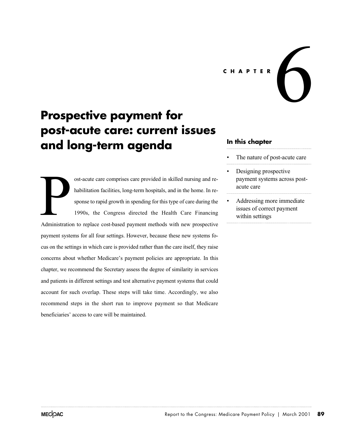### **CHAPTER**

# **Prospective payment for post-acute care: current issues and long-term agenda**

ost-acute care comprises care provided in skilled nursing and rehabilitation facilities, long-term hospitals, and in the home. In response to rapid growth in spending for this type of care during the 1990s, the Congress directed the Health Care Financing ost-acute care comprises care provided in skilled nursing and rehabilitation facilities, long-term hospitals, and in the home. In response to rapid growth in spending for this type of care during the 1990s, the Congress di payment systems for all four settings. However, because these new systems focus on the settings in which care is provided rather than the care itself, they raise concerns about whether Medicare's payment policies are appropriate. In this chapter, we recommend the Secretary assess the degree of similarity in services and patients in different settings and test alternative payment systems that could account for such overlap. These steps will take time. Accordingly, we also recommend steps in the short run to improve payment so that Medicare beneficiaries' access to care will be maintained.

# **In this chapter**

The nature of post-acute care

- Designing prospective payment systems across postacute care
- Addressing more immediate issues of correct payment within settings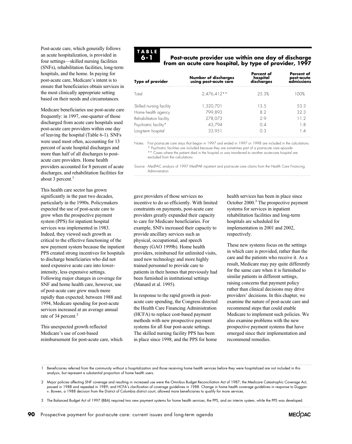Post-acute care, which generally follows an acute hospitalization, is provided in four settings—skilled nursing facilities (SNFs), rehabilitation facilities, long-term hospitals, and the home. In paying for post-acute care, Medicare's intent is to ensure that beneficiaries obtain services in the most clinically appropriate setting based on their needs and circumstances.

Medicare beneficiaries use post-acute care frequently: in 1997, one-quarter of those discharged from acute care hospitals used post-acute care providers within one day of leaving the hospital (Table 6-1). SNFs were used most often, accounting for 13 percent of acute hospital discharges and more than half of all discharges to postacute care providers. Home health providers accounted for 8 percent of acute discharges, and rehabilitation facilities for about 3 percent.<sup>1</sup>

This health care sector has grown significantly in the past two decades, particularly in the 1990s. Policymakers expected the use of post-acute care to grow when the prospective payment system (PPS) for inpatient hospital services was implemented in 1983. Indeed, they viewed such growth as critical to the effective functioning of the new payment system because the inpatient PPS created strong incentives for hospitals to discharge beneficiaries who did not need expensive acute care into lowerintensity, less expensive settings. Following major changes in coverage for SNF and home health care, however, use of post-acute care grew much more rapidly than expected; between 1988 and 1994, Medicare spending for post-acute services increased at an average annual rate of 34 percent.<sup>2</sup>

This unexpected growth reflected Medicare's use of cost-based reimbursement for post-acute care, which

# **TABLE 6-1**

### **Post-acute provider use within one day of discharge from an acute care hospital, by type of provider, 1997**

| <b>Number of discharges</b><br>using post-acute care | Percent of<br>hospital<br>discharges | Percent of<br>post-acute<br>admissions |  |
|------------------------------------------------------|--------------------------------------|----------------------------------------|--|
| $2.476.412**$                                        | 253%                                 | 100%                                   |  |
| 1,320,701                                            | 13.5                                 | 53.3                                   |  |
| 278,073                                              | 29                                   | 32.3<br>11.2                           |  |
| 43,794<br>33,951                                     | $\Omega$ 4<br>$\Omega$ 3             | 1.8<br>1.4                             |  |
|                                                      | 799.893                              | 82                                     |  |

Notes: First post-acute care stays that began in 1997 and ended in 1997 or 1998 are included in the calculations. \* Psychiatric facilities are included because they are sometimes part of a post-acute care episode.

\*\* Cases where the patient died in the hospital or was transferred to another acute-care hospital are excluded from the calculations.

Source: MedPAC analysis of 1997 MedPAR inpatient and post-acute care claims from the Health Care Financing Administration. 

gave providers of those services no incentive to do so efficiently. With limited constraints on payments, post-acute care providers greatly expanded their capacity to care for Medicare beneficiaries. For example, SNFs increased their capacity to provide ancillary services such as physical, occupational, and speech providers, reimbursed for unlimited visits, used new technology and more highly trained personnel to provide care to patients in their homes that previously had been furnished in institutional settings (Manard et al. 1995). therapy (GAO 1999b). Home health

In response to the rapid growth in postacute care spending, the Congress directed the Health Care Financing Administration (HCFA) to replace cost-based payment methods with new prospective payment systems for all four post-acute settings. The skilled nursing facility PPS has been in place since 1998, and the PPS for home health services has been in place since October 2000.3 The prospective payment systems for services in inpatient rehabilitation facilities and long-term hospitals are scheduled for implementation in 2001 and 2002, respectively.

These new systems focus on the settings in which care is provided, rather than the care and the patients who receive it. As a result, Medicare may pay quite differently for the same care when it is furnished to similar patients in different settings, raising concerns that payment policy rather than clinical decisions may drive providers' decisions. In this chapter, we examine the nature of post-acute care and recommend steps that could enable Medicare to implement such policies. We also examine problems with the new prospective payment systems that have emerged since their implementation and recommend remedies.

1 Beneficiaries referred from the community without a hospitalization and those receiving home health services before they were hospitalized are not included in this analysis, but represent a substantial proportion of home health users.

2 Major policies affecting SNF coverage and resulting in increased use were the Omnibus Budget Reconciliation Act of 1987; the Medicare Catastrophic Coverage Act, passed in 1988 and repealed in 1989; and HCFA's clarification of coverage guidelines in 1988. Change in home health coverage guidelines in response to Duggan v. Bowen, a 1988 decision from the District of Columbia district court, allowed more beneficiaries to qualify for more services.

3 The Balanced Budget Act of 1997 (BBA) required two new payment systems for home health services; the PPS, and an interim system, while the PPS was developed. 

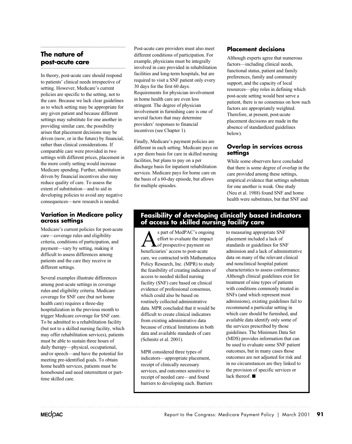# **The nature of post-acute care**

In theory, post-acute care should respond to patients' clinical needs irrespective of setting. However, Medicare's current policies are specific to the setting, not to the care. Because we lack clear guidelines as to which setting may be appropriate for any given patient and because different settings may substitute for one another in providing similar care, the possibility arises that placement decisions may be driven (now, or in the future) by financial, rather than clinical considerations. If comparable care were provided in two settings with different prices, placement in the more costly setting would increase Medicare spending. Further, substitution driven by financial incentives also may reduce quality of care. To assess the extent of substitution—and to aid in developing policies to avoid any negative consequences—new research is needed.

# **Variation in Medicare policy across settings**

Medicare's current policies for post-acute care—coverage rules and eligibility criteria, conditions of participation, and difficult to assess differences among patients and the care they receive in different settings. payment—vary by setting, making it

Several examples illustrate differences among post-acute settings in coverage rules and eligibility criteria. Medicare coverage for SNF care (but not home health care) requires a three-day hospitalization in the previous month to trigger Medicare coverage for SNF care. To be admitted to a rehabilitation facility (but not to a skilled nursing facility, which may offer rehabilitation services), patients must be able to sustain three hours of and/or speech—and have the potential for meeting pre-identified goals. To obtain home health services, patients must be homebound and need intermittent or parttime skilled care. daily therapy—physical, occupational,

Post-acute care providers must also meet different conditions of participation. For example, physicians must be integrally involved in care provided in rehabilitation facilities and long-term hospitals, but are required to visit a SNF patient only every 30 days for the first 60 days. Requirements for physician involvement in home health care are even less stringent. The degree of physician involvement in furnishing care is one of several factors that may determine providers' responses to financial incentives (see Chapter 1).

Finally, Medicare's payment policies are different in each setting. Medicare pays on a per diem basis for care in skilled nursing facilities, but plans to pay on a per discharge basis for inpatient rehabilitation services. Medicare pays for home care on the basis of a 60-day episode, but allows for multiple episodes.

# **Placement decisions**

Although experts agree that numerous factors—including clinical needs, functional status, patient and family preferences, family and community support, and the capacity of local resources—play roles in defining which post-acute setting would best serve a factors are appropriately weighted. Therefore, at present, post-acute placement decisions are made in the patient, there is no consensus on how such absence of standardized guidelines below).

# **Overlap in services across settings**

that there is some degree of overlap in the care provided among these settings, empirical evidence that settings substitute (Neu et al. 1988) found SNF and home health were substitutes, but that SNF and While some observers have concluded for one another is weak. One study

# **Feasibility of developing clinically based indicators of access to skilled nursing facility care**

s part of MedPAC's ongoing<br>effort to evaluate the impact<br>heneficiaries' access to post-acute effort to evaluate the impact of prospective payment on beneficiaries' access to post-acute care, we contracted with Mathematica Policy Research, Inc. (MPR) to study the feasibility of creating indicators of access to needed skilled nursing facility (SNF) care based on clinical evidence of professional consensus, which could also be based on routinely collected administrative data. MPR concluded that it would be difficult to create clinical indicators from existing administrative data because of critical limitations in both data and available standards of care (Schmitz et al. 2001).

MPR considered three types of indicators—appropriate placement, receipt of clinically necessary services, and outcomes sensitive to receipt of needed care—and found barriers to developing each. Barriers

to measuring appropriate SNF placement included a lack of standards or guidelines for SNF admission and a lack of administrative data on many of the relevant clinical and nonclinical hospital patient characteristics to assess conformance. Although clinical guidelines exist for treatment of nine types of patients with conditions commonly treated in SNFs (and which represent most admissions), existing guidelines fail to recommend a particular setting in which care should be furnished, and the services prescribed by those guidelines. The Minimum Data Set (MDS) provides information that can be used to evaluate some SNF patient outcomes, but in many cases those outcomes are not adjusted for risk and in no circumstances are they linked to the provision of specific services or lack thereof.  $\blacksquare$ available data identify only some of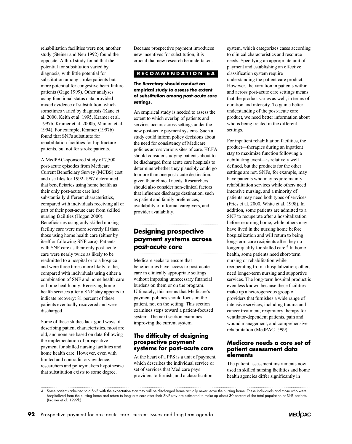rehabilitation facilities were not; another study (Steiner and Neu 1992) found the opposite. A third study found that the potential for substitution varied by diagnosis, with little potential for substitution among stroke patients but more potential for congestive heart failure patients (Gage 1999). Other analyses using functional status data provided mixed evidence of substitution, which sometimes varied by diagnosis (Kane et al. 2000, Keith et al. 1995, Kramer et al. 1997b, Kramer et al. 2000b, Manton et al. 1994). For example, Kramer (1997b) found that SNFs substitute for rehabilitation facilities for hip fracture patients, but not for stroke patients.

A MedPAC-sponsored study of 7,500 post-acute episodes from Medicare Current Beneficiary Survey (MCBS) cost and use files for 1992-1997 determined that beneficiaries using home health as their only post-acute care had substantially different characteristics, compared with individuals receiving all or part of their post-acute care from skilled nursing facilities (Hogan 2000). Beneficiaries using only skilled nursing facility care were more severely ill than those using home health care (either by itself or following SNF care). Patients with SNF care as their only post-acute care were nearly twice as likely to be readmitted to a hospital or to a hospice and were three times more likely to die, compared with individuals using either a combination of SNF and home health care or home health only. Receiving home health services after a SNF stay appears to indicate recovery: 81 percent of these patients eventually recovered and were discharged.

Some of these studies lack good ways of describing patient characteristics, most are old, and none are based on data following the implementation of prospective payment for skilled nursing facilities and home health care. However, even with limited and contradictory evidence, researchers and policymakers hypothesize that substitution exists to some degree.

Because prospective payment introduces new incentives for substitution, it is crucial that new research be undertaken.

### **RECOMMENDATION 6A**

### **The Secretary should conduct an empirical study to assess the extent of substitution among post-acute care settings.**

An empirical study is needed to assess the extent to which overlap of patients and services occurs across settings under the new post-acute payment systems. Such a study could inform policy decisions about the need for consistency of Medicare policies across various sites of care. HCFA should consider studying patients about to be discharged from acute care hospitals to determine whether they plausibly could go to more than one post-acute destination, given their clinical needs. Researchers should also consider non-clinical factors that influence discharge destination, such as patient and family preferences, availability of informal caregivers, and provider availability.

# **Designing prospective payment systems across post-acute care**

Medicare seeks to ensure that beneficiaries have access to post-acute care in clinically appropriate settings without imposing unnecessary financial burdens on them or on the program. Ultimately, this means that Medicare's payment policies should focus on the patient, not on the setting. This section examines steps toward a patient-focused system. The next section examines improving the current system.

# **The difficulty of designing prospective payment systems for post-acute care**

At the heart of a PPS is a unit of payment, which describes the individual service or set of services that Medicare pays providers to furnish, and a classification

system, which categorizes cases according to clinical characteristics and resource needs. Specifying an appropriate unit of payment and establishing an effective classification system require understanding the patient care product. However, the variation in patients within and across post-acute care settings means that the product varies as well, in terms of duration and intensity. To gain a better understanding of the post-acute care product, we need better information about who is being treated in the different settings.

For inpatient rehabilitation facilities, the product—therapies during an inpatient stay to maximize function following a debilitating event—is relatively well defined, but the products for the other settings are not. SNFs, for example, may have patients who may require mainly rehabilitation services while others need intensive nursing, and a minority of patients may need both types of services (Fries et al. 2000, White et al. 1998). In addition, some patients are admitted to a SNF to recuperate after a hospitalization before returning home, while others may have lived in the nursing home before hospitalization and will return to being long-term care recipients after they no longer qualify for skilled care.<sup>4</sup> In home health, some patients need short-term nursing or rehabilitation while recuperating from a hospitalization; others need longer-term nursing and supportive services. The long-term hospital product is even less known because these facilities make up a heterogeneous group of providers that furnishes a wide range of intensive services, including trauma and cancer treatment, respiratory therapy for ventilator-dependent patients, pain and wound management, and comprehensive rehabilitation (MedPAC 1999).

# **Medicare needs a core set of patient assessment data elements**

The patient assessment instruments now used in skilled nursing facilities and home health agencies differ significantly in



<sup>4</sup> Some patients admitted to a SNF with the expectation that they will be discharged home actually never leave the nursing home. These individuals and those who were hospitalized from the nursing home and return to long-term care after their SNF stay are estimated to make up about 30 percent of the total population of SNF patients (Kramer et al. 1997b)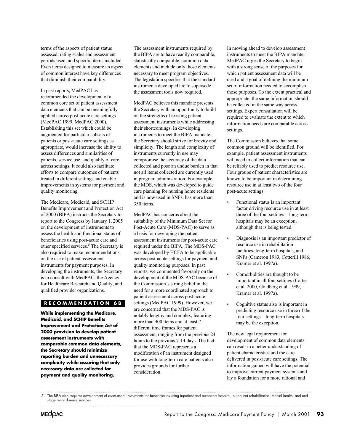terms of the aspects of patient status assessed, rating scales and assessment periods used, and specific items included. Even items designed to measure an aspect of common interest have key differences that diminish their comparability.

In past reports, MedPAC has recommended the development of a common core set of patient assessment applied across post-acute care settings (MedPAC 1999, MedPAC 2000). augmented for particular subsets of patients or post-acute care settings as appropriate, would increase the ability to assess differences and similarities of patients, service use, and quality of care across settings. It could also facilitate efforts to compare outcomes of patients treated in different settings and enable improvements in systems for payment and quality monitoring. data elements that can be meaningfully Establishing this set which could be

The Medicare, Medicaid, and SCHIP Benefits Improvement and Protection Act of 2000 (BIPA) instructs the Secretary to report to the Congress by January 1, 2005 on the development of instruments to assess the health and functional status of beneficiaries using post-acute care and other specified services.<sup>5</sup> The Secretary is also required to make recommendations on the use of patient assessment instruments for payment purposes. In developing the instruments, the Secretary is to consult with MedPAC, the Agency for Healthcare Research and Quality, and qualified provider organizations.

# **RECOMMENDATION 6B**

**While implementing the Medicare, Medicaid, and SCHIP Benefits Improvement and Protection Act of 2000 provision to develop patient assessment instruments with comparable common data elements, the Secretary should minimize reporting burden and unnecessary complexity while assuring that only necessary data are collected for payment and quality monitoring.**

The assessment instruments required by the BIPA are to have readily comparable, statistically compatible, common data elements and include only those elements necessary to meet program objectives. The legislation specifies that the standard instruments developed are to supersede the assessment tools now required.

MedPAC believes this mandate presents the Secretary with an opportunity to build on the strengths of existing patient assessment instruments while addressing their shortcomings. In developing instruments to meet the BIPA mandate, the Secretary should strive for brevity and simplicity. The length and complexity of instruments currently in use may compromise the accuracy of the data collected and pose an undue burden in that not all items collected are currently used in program administration. For example, the MDS, which was developed to guide care planning for nursing home residents and is now used in SNFs, has more than 350 items.

MedPAC has concerns about the suitability of the Minimum Data Set for Post-Acute Care (MDS-PAC) to serve as a basis for developing the patient assessment instruments for post-acute care required under the BIPA. The MDS-PAC was developed by HCFA to be applicable across post-acute settings for payment and quality monitoring purposes. In past reports, we commented favorably on the development of the MDS-PAC because of the Commission's strong belief in the need for a more coordinated approach to patient assessment across post-acute settings (MedPAC 1999). However, we are concerned that the MDS-PAC is notably lengthy and complex, featuring more than 400 items and at least 7 different time frames for patient assessment, ranging from the previous 24 hours to the previous 7-14 days. The fact that the MDS-PAC represents a modification of an instrument designed for use with long-term care patients also provides grounds for further consideration.

In moving ahead to develop assessment instruments to meet the BIPA mandate, MedPAC urges the Secretary to begin with a strong sense of the purposes for which patient assessment data will be used and a goal of defining the minimum set of information needed to accomplish those purposes. To the extent practical and appropriate, the same information should be collected in the same way across settings. Expert consultation will be required to evaluate the extent to which information needs are comparable across settings.

The Commission believes that some common ground will be identified. For example, patient assessment instruments will need to collect information that can be reliably used to predict resource use. Four groups of patient characteristics are known to be important in determining resource use in at least two of the four post-acute settings:

- Functional status is an important factor driving resource use in at least three of the four settings—long-term hospitals may be an exception, although that is being tested.
- Diagnosis is an important predictor of resource use in rehabilitation facilities, long-term hospitals, and SNFs (Cameron 1983, Cotterill 1986, Kramer et al. 1997a).
- Comorbidities are thought to be important in all four settings (Carter et al. 2000, Goldberg et al. 1999, Kramer et al. 1997a).
- Cognitive status also is important in predicting resource use in three of the four settings—long-term hospitals may be the exception.

The new legal requirement for development of common data elements can result in a better understanding of patient characteristics and the care delivered in post-acute care settings. The information gained will have the potential to improve current payment systems and lay a foundation for a more rational and

<sup>5</sup> The BIPA also requires development of assessment instruments for beneficiaries using inpatient and outpatient hospital, outpatient rehabilitation, mental health, and endstage renal disease services.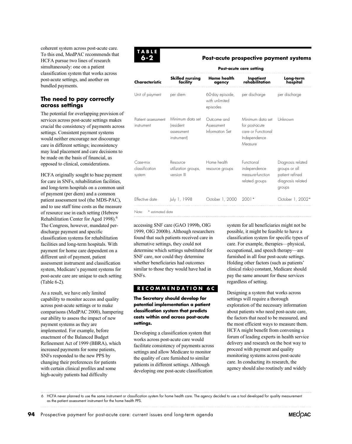coherent system across post-acute care. To this end, MedPAC recommends that HCFA pursue two lines of research simultaneously: one on a patient classification system that works across post-acute settings, and another on bundled payments.

# **The need to pay correctly across settings**

The potential for overlapping provision of services across post-acute settings makes crucial the consistency of payments across settings. Consistent payment systems would neither encourage nor discourage care in different settings; inconsistency may lead placement and care decisions to be made on the basis of financial, as opposed to clinical, considerations.

HCFA originally sought to base payment for care in SNFs, rehabilitation facilities, and long-term hospitals on a common unit of payment (per diem) and a common patient assessment tool (the MDS-PAC), and to use staff time costs as the measure of resource use in each setting (Hebrew Rehabilitation Center for Aged 1998).<sup>6</sup> The Congress, however, mandated perdischarge payment and specific classification systems for rehabilitation facilities and long-term hospitals. With payment for home care dependent on a different unit of payment, patient assessment instrument and classification system, Medicare's payment systems for post-acute care are unique to each setting (Table 6-2).

As a result, we have only limited capability to monitor access and quality across post-acute settings or to make comparisons (MedPAC 2000), hampering our ability to assess the impact of new payment systems as they are Refinement Act of 1999 (BBRA), which increased payments for some patients, SNFs responded to the new PPS by changing their preferences for patients with certain clinical profiles and some high-acuity patients had difficulty enactment of the Balanced Budget implemented. For example, before



### **Post-acute prospective payment systems**

|                                      | Post-acute care setting                                    |                                               |                                                                                     |                                                                                      |  |  |
|--------------------------------------|------------------------------------------------------------|-----------------------------------------------|-------------------------------------------------------------------------------------|--------------------------------------------------------------------------------------|--|--|
| Characteristic                       | Skilled nursing<br>facility                                | <b>Home health</b><br>agency                  | Inpatient<br>rehabilitation                                                         | Long-term<br>hospital                                                                |  |  |
| Unit of payment                      | per diem                                                   | 60-day episode,<br>with unlimited<br>episodes | per discharge                                                                       | per discharge                                                                        |  |  |
| Patient assessment<br>instrument     | Minimum data set<br>(resident<br>assessment<br>instrument) | Outcome and<br>Assessment<br>Information Set  | Minimum data set<br>for post-acute<br>care or Functional<br>Independence<br>Measure | Unknown                                                                              |  |  |
| Case-mix<br>classification<br>system | Resource<br>utilization groups,<br>version III             | Home health<br>resource groups                | Functional<br>independence<br>measure-function<br>related groups                    | Diagnosis related<br>groups or all<br>patient refined<br>diagnosis related<br>groups |  |  |
| <b>Fffective</b> date                | July 1, 1998                                               | October 1, 2000                               | $2001*$                                                                             | October 1, 2002*                                                                     |  |  |
| * estimated date<br>Note:            |                                                            |                                               |                                                                                     |                                                                                      |  |  |

accessing SNF care (GAO 1999b, OIG 1999, OIG 2000b). Although researchers found that such patients received care in alternative settings, they could not determine which settings substituted for SNF care, nor could they determine whether beneficiaries had outcomes similar to those they would have had in SNFs.

# **RECOMMENDATION 6C**

**The Secretary should develop for potential implementation a patient classification system that predicts costs within and across post-acute settings.**

Developing a classification system that works across post-acute care would facilitate consistency of payments across settings and allow Medicare to monitor the quality of care furnished to similar patients in different settings. Although developing one post-acute classification

system for all beneficiaries might not be possible, it might be feasible to have a classification system for specific types of care. For example, therapies—physical, occupational, and speech therapy—are furnished in all four post-acute settings. Holding other factors (such as patients' clinical risks) constant, Medicare should pay the same amount for these services regardless of setting.

Designing a system that works across settings will require a thorough exploration of the necessary information about patients who need post-acute care, the most efficient ways to measure them. HCFA might benefit from convening a forum of leading experts in health service delivery and research on the best way to proceed with payment and quality monitoring systems across post-acute care. In conducting its research, the agency should also routinely and widely the factors that need to be measured, and

6 HCFA never planned to use the same instrument or classification system for home health care. The agency decided to use a tool developed for quality measurementas the patient assessment instrument for the home health PPS. 

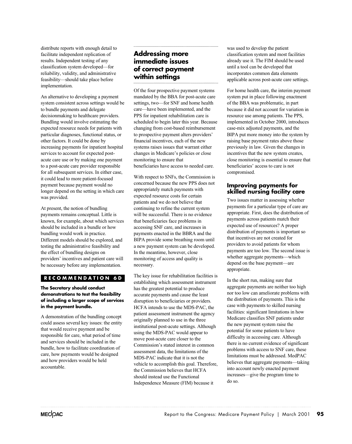distribute reports with enough detail to facilitate independent replication of results. Independent testing of any classification system developed—for reliability, validity, and administrative implementation. feasibility—should take place before

An alternative to developing a payment system consistent across settings would be to bundle payments and delegate decisionmaking to healthcare providers. Bundling would involve estimating the expected resource needs for patients with particular diagnoses, functional status, or other factors. It could be done by increasing payments for inpatient hospital services to account for expected postacute care use or by making one payment to a post-acute care provider responsible for all subsequent services. In either case, it could lead to more patient-focused payment because payment would no longer depend on the setting in which care was provided.

At present, the notion of bundling payments remains conceptual. Little is known, for example, about which services should be included in a bundle or how bundling would work in practice. Different models should be explored, and testing the administrative feasibility and the effect of bundling designs on providers' incentives and patient care will be necessary before any implementation.

# **RECOMMENDATION 6D**

### **The Secretary should conduct demonstrations to test the feasibility of including a larger scope of services in the payment bundle.**

A demonstration of the bundling concept could assess several key issues: the entity that would receive payment and be responsible for care, what period of time and services should be included in the bundle, how to facilitate coordination of care, how payments would be designed and how providers would be held accountable.

# **Addressing more immediate issues of correct payment within settings**

Of the four prospective payment systems mandated by the BBA for post-acute care settings, two—for SNF and home health care—have been implemented, and the PPS for inpatient rehabilitation care is scheduled to begin later this year. Because changing from cost-based reimbursement to prospective payment alters providers' financial incentives, each of the new systems raises issues that warrant either changes in Medicare's policies or close beneficiaries have access to needed care. monitoring to ensure that

With respect to SNFs, the Commission is concerned because the new PPS does not appropriately match payments with expected resource costs for certain patients and we do not believe that continuing to refine the current system will be successful. There is no evidence that beneficiaries face problems in accessing SNF care, and increases in payments enacted in the BBRA and the BIPA provide some breathing room until a new payment system can be developed. In the meantime, however, close monitoring of access and quality is necessary.

The key issue for rehabilitation facilities is establishing which assessment instrument has the greatest potential to produce accurate payments and cause the least disruption to beneficiaries or providers. HCFA intends to use the MDS-PAC, the patient assessment instrument the agency originally planned to use in the three institutional post-acute settings. Although using the MDS-PAC would appear to move post-acute care closer to the Commission's stated interest in common assessment data, the limitations of the MDS-PAC indicate that it is not the vehicle to accomplish this goal. Therefore, the Commission believes that HCFA should instead use the Functional Independence Measure (FIM) because it

was used to develop the patient classification system and most facilities already use it. The FIM should be used until a tool can be developed that incorporates common data elements applicable across post-acute care settings.

For home health care, the interim payment system put in place following enactment of the BBA was problematic, in part because it did not account for variation in resource use among patients. The PPS, implemented in October 2000, introduces case-mix adjusted payments, and the BIPA put more money into the system by raising base payment rates above those previously in law. Given the changes in incentives that the new system creates, close monitoring is essential to ensure that beneficiaries' access to care is not compromised.

# **Improving payments for skilled nursing facility care**

Two issues matter in assessing whether payments for a particular type of care are appropriate. First, does the distribution of payments across patients match their expected use of resources? A proper distribution of payments is important so that incentives are not created for providers to avoid patients for whom payments are too low. The second issue is whether aggregate payments—which depend on the base payment—are appropriate.

In the short run, making sure that aggregate payments are neither too high nor too low can ameliorate problems with the distribution of payments. This is the case with payments to skilled nursing facilities: significant limitations in how Medicare classifies SNF patients under the new payment system raise the potential for some patients to have difficulty in accessing care. Although there is no current evidence of significant problems with access to SNF care, these limitations must be addressed. MedPAC believes that aggregate payments—taking into account newly enacted payment increases—give the program time to do so.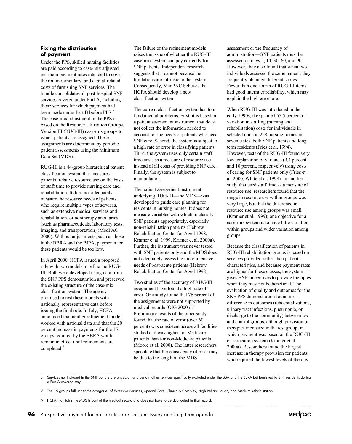### **Fixing the distribution of payment**

Under the PPS, skilled nursing facilities are paid according to case-mix adjusted per diem payment rates intended to cover the routine, ancillary, and capital-related costs of furnishing SNF services. The bundle consolidates all post-hospital SNF services covered under Part A, including those services for which payment had The case-mix adjustment in the PPS is based on the Resource Utilization Groups, Version III (RUG-III) case-mix groups to which patients are assigned. These assignments are determined by periodic patient assessments using the Minimum Data Set (MDS). been made under Part B before PPS.

RUG-III is a 44-group hierarchical patient classification system that measures patients' relative resource use on the basis of staff time to provide nursing care and rehabilitation. It does not adequately measure the resource needs of patients who require multiple types of services, such as extensive medical services and rehabilitation, or nontherapy ancillaries (such as pharmaceuticals, laboratory tests, 2000). Without adjustments, such as those in the BBRA and the BIPA, payments for these patients would be too low. imaging, and transportation) (MedPAC

In April 2000, HCFA issued a proposed rule with two models to refine the RUG-III. Both were developed using data from the SNF PPS demonstration and preserved the existing structure of the case-mix classification system. The agency promised to test these models with nationally representative data before issuing the final rule. In July, HCFA announced that neither refinement model worked with national data and that the 20 percent increase in payments for the 15 groups required by the BBRA would remain in effect until refinements are completed.<sup>8</sup>

The failure of the refinement models raises the issue of whether the RUG-III case-mix system can pay correctly for SNF patients. Independent research suggests that it cannot because the limitations are intrinsic to the system. Consequently, MedPAC believes that HCFA should develop a new classification system.

The current classification system has four fundamental problems. First, it is based on a patient assessment instrument that does not collect the information needed to account for the needs of patients who need SNF care. Second, the system is subject to a high rate of error in classifying patients. Third, the system uses only certain staff time costs as a measure of resource use instead of all costs of providing SNF care. Finally, the system is subject to manipulation.

The patient assessment instrument underlying RUG-III—the MDS—was developed to guide care planning for residents in nursing homes. It does not measure variables with which to classify SNF patients appropriately, especially non-rehabilitation patients (Hebrew Rehabilitation Center for Aged 1998, Kramer et al. 1999, Kramer et al. 2000a). Further, the instrument was never tested with SNF patients only and the MDS does not adequately assess the more intensive needs of post-acute patients (Hebrew Rehabilitation Center for Aged 1998).

Two studies of the accuracy of RUG-III assignment have found a high rate of error. One study found that 76 percent of the assignments were not supported by medical records (OIG 2000a).<sup>9</sup> Preliminary results of the other study found that the rate of error (over 60 percent) was consistent across all facilities studied and was higher for Medicare patients than for non-Medicare patients (Moore et al. 2000). The latter researchers speculate that the consistency of error may be due to the length of the MDS

assessment or the frequency of administration—SNF patients must be assessed on days 5, 14, 30, 60, and 90. However, they also found that when two individuals assessed the same patient, they frequently obtained different scores. Fewer than one-fourth of RUG-III items had good interrater reliability, which may explain the high error rate.

When RUG-III was introduced in the early 1990s, it explained 55.5 percent of variation in staffing (nursing and rehabilitation) costs for individuals in selected units in 228 nursing homes in seven states, both SNF patients and longterm residents (Fries et al. 1994). However, tests of the RUG-III found very low explanation of variance (9.4 percent and 10 percent, respectively) using costs of caring for SNF patients only (Fries et al. 2000, White et al. 1998). In another study that used staff time as a measure of resource use, researchers found that the range in resource use within groups was very large, but that the difference in resource use among groups was small (Kramer et al. 1999); one objective for a case-mix system is to have little variation within groups and wider variation among groups.

Because the classification of patients in RUG-III rehabilitation groups is based on services provided rather than patient characteristics, and because payment rates are higher for these classes, the system gives SNFs incentives to provide therapies when they may not be beneficial. The evaluation of quality and outcomes for the SNF PPS demonstration found no difference in outcomes (rehospitalizations, discharge to the community) between test and control groups, although provision of therapies increased in the test group, in which payment was based on the RUG-III classification system (Kramer et al. 2000a). Researchers found the largest increase in therapy provision for patients who required the lowest levels of therapy, urinary tract infections, pneumonia, or

7 Services not included in the SNF bundle are physician and certain other services specifically excluded under the BBA and the BBRA but furnished to SNF residents during a Part A covered stay.

- 8 The 15 groups fall under the categories of Extensive Services, Special Care, Clinically Complex, High Rehabilitation, and Medium Rehabilitation.
- 9 HCFA maintains the MDS is part of the medical record and does not have to be duplicated in that record.

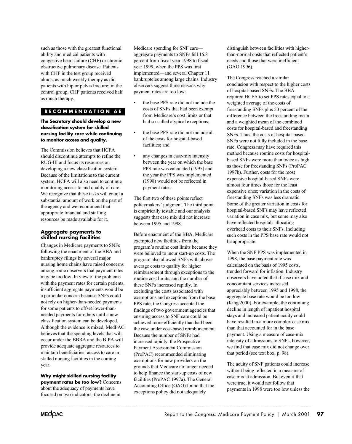such as those with the greatest functional ability and medical patients with congestive heart failure (CHF) or chronic obstructive pulmonary disease. Patients with CHF in the test group received almost as much weekly therapy as did patients with hip or pelvis fracture; in the control group, CHF patients received half as much therapy.

# **RECOMMENDATION 6E**

**The Secretary should develop a new classification system for skilled nursing facility care while continuing to monitor access and quality.**

The Commission believes that HCFA should discontinue attempts to refine the RUG-III and focus its resources on developing a new classification system. Because of the limitations to the current system, HCFA will also need to continue monitoring access to and quality of care. We recognize that these tasks will entail a substantial amount of work on the part of the agency and we recommend that appropriate financial and staffing resources be made available for it.

### **Aggregate payments to skilled nursing facilities**

Changes in Medicare payments to SNFs following the enactment of the BBA and bankruptcy filings by several major nursing home chains have raised concerns among some observers that payment rates may be too low. In view of the problems with the payment rates for certain patients, insufficient aggregate payments would be a particular concern because SNFs could not rely on higher-than-needed payments for some patients to offset lower-thanneeded payments for others until a new classification system can be developed. Although the evidence is mixed, MedPAC believes that the spending levels that will occur under the BBRA and the BIPA will provide adequate aggregate resources to maintain beneficiaries' access to care in skilled nursing facilities in the coming year.

**Why might skilled nursing facility payment rates be too low?** Concerns about the adequacy of payments have focused on two indicators: the decline in

Medicare spending for SNF care aggregate payments to SNFs fell 16.8 percent from fiscal year 1998 to fiscal year 1999, when the PPS was first implemented—and several Chapter 11 bankruptcies among large chains. Industry observers suggest three reasons why payment rates are too low:

- the base PPS rate did not include the costs of SNFs that had been exempt from Medicare's cost limits or that had so-called atypical exceptions;
- the base PPS rate did not include all of the costs for hospital-based facilities; and
- any changes in case-mix intensity between the year on which the base PPS rate was calculated (1995) and the year the PPS was implemented (1998) would not be reflected in payment rates.

The first two of these points reflect policymakers' judgment. The third point is empirically testable and our analysis suggests that case mix did not increase between 1995 and 1998.

Before enactment of the BBA, Medicare exempted new facilities from the program's routine cost limits because they were believed to incur start-up costs. The program also allowed SNFs with aboveaverage costs to qualify for higher reimbursement through exceptions to the routine cost limits, and the number of these SNFs increased rapidly. In excluding the costs associated with exemptions and exceptions from the base PPS rate, the Congress accepted the findings of two government agencies that ensuring access to SNF care could be achieved more efficiently than had been the case under cost-based reimbursement. Because the number of SNFs had increased rapidly, the Prospective Payment Assessment Commission (ProPAC) recommended eliminating exemptions for new providers on the grounds that Medicare no longer needed to help finance the start-up costs of new facilities (ProPAC 1997a). The General Accounting Office (GAO) found that the exceptions policy did not adequately

distinguish between facilities with higherthan-normal costs that reflected patient's needs and those that were inefficient (GAO 1996).

The Congress reached a similar conclusion with respect to the higher costs of hospital-based SNFs. The BBA required HCFA to set PPS rates equal to a weighted average of the costs of freestanding SNFs plus 50 percent of the difference between the freestanding mean and a weighted mean of the combined costs for hospital-based and freestanding SNFs. Thus, the costs of hospital-based SNFs were not fully included in the base rate. Congress may have required this method because routine costs for hospitalbased SNFs were more than twice as high as those for freestanding SNFs (ProPAC 1997b). Further, costs for the most expensive hospital-based SNFs were almost four times those for the least expensive ones; variation in the costs of freestanding SNFs was less dramatic. Some of the greater variation in costs for hospital-based SNFs may have reflected variation in case mix, but some may also have reflected hospitals allocating overhead costs to their SNFs. Including such costs in the PPS base rate would not be appropriate.

When the SNF PPS was implemented in 1998, the base payment rate was calculated on the basis of 1995 costs, trended forward for inflation. Industry observers have noted that if case mix and concomitant services increased appreciably between 1995 and 1998, the aggregate base rate would be too low (King 2000). For example, the continuing decline in length of inpatient hospital stays and increased patient acuity could have resulted in a more complex case mix than that accounted for in the base payment. Using a measure of case-mix intensity of admissions to SNFs, however, we find that case mix did not change over that period (see text box, p. 98).

The acuity of SNF patients could increase without being reflected in a measure of case mix at admission. But even if that were true, it would not follow that payments in 1998 were too low unless the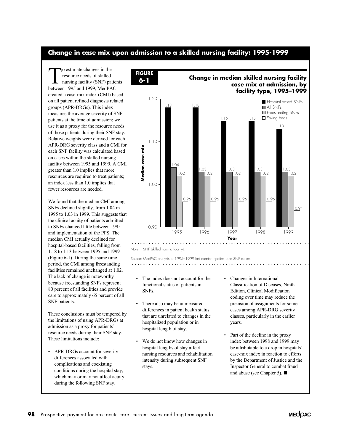# **Change in case mix upon admission to a skilled nursing facility: 1995-1999**

To estimate changes in the resource needs of skilled nursing facility (SNF) patients between 1995 and 1999, MedPAC created a case-mix index (CMI) based on all patient refined diagnosis related groups (APR-DRGs). This index measures the average severity of SNF patients at the time of admission; we use it as a proxy for the resource needs of those patients during their SNF stay. Relative weights were derived for each APR-DRG severity class and a CMI for each SNF facility was calculated based on cases within the skilled nursing facility between 1995 and 1999. A CMI greater than 1.0 implies that more resources are required to treat patients; an index less than 1.0 implies that fewer resources are needed.

We found that the median CMI among SNFs declined slightly, from 1.04 in 1995 to 1.03 in 1999. This suggests that the clinical acuity of patients admitted to SNFs changed little between 1995 and implementation of the PPS. The median CMI actually declined for hospital-based facilities, falling from 1.18 to 1.13 between 1995 and 1999 (Figure 6-1). During the same time period, the CMI among freestanding facilities remained unchanged at 1.02. The lack of change is noteworthy because freestanding SNFs represent 80 percent of all facilities and provide care to approximately 65 percent of all SNF patients.

These conclusions must be tempered by the limitations of using APR-DRGs at admission as a proxy for patients' resource needs during their SNF stay. These limitations include:

• APR-DRGs account for severity differences associated with complications and coexisting conditions during the hospital stay, which may or may not affect acuity during the following SNF stay.





**Change in median skilled nursing facility**

Note: SNF (skilled nursing facility).

Source: MedPAC analysis of 1995–1999 last quarter inpatient and SNF claims. 

- The index does not account for the functional status of patients in SNFs.
- There also may be unmeasured differences in patient health status that are unrelated to changes in the hospitalized population or in hospital length of stay.
- We do not know how changes in hospital lengths of stay affect nursing resources and rehabilitation intensity during subsequent SNF stays.
- Changes in International Classification of Diseases, Ninth Edition, Clinical Modification coding over time may reduce the precision of assignments for some cases among APR-DRG severity classes, particularly in the earlier years.
- Part of the decline in the proxy index between 1998 and 1999 may be attributable to a drop in hospitals' case-mix index in reaction to efforts by the Department of Justice and the Inspector General to combat fraud and abuse (see Chapter 5).  $\blacksquare$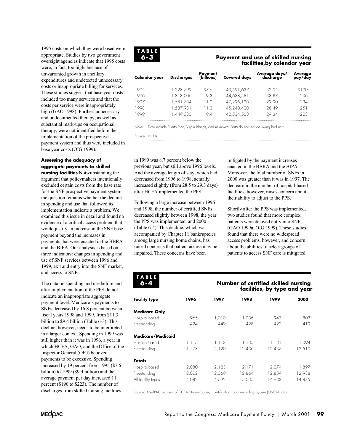1995 costs on which they were based were appropriate. Studies by two government oversight agencies indicate that 1995 costs were, in fact, too high, because of unwarranted growth in ancillary expenditures and undetected unnecessary costs or inappropriate billing for services. These studies suggest that base year costs included too many services and that the costs per service were inappropriately high (GAO 1998). Further, unnecessary and undocumented therapy, as well as substantial mark-ups on occupational therapy, were not identified before the implementation of the prospective payment system and thus were included in base year costs (OIG 1999).

# **Assessing the adequacy of aggregate payments to skilled**

**nursing facilities** Notwithstanding the argument that policymakers intentionally excluded certain costs from the base rate for the SNF prospective payment system, the question remains whether the decline in spending and use that followed its implementation indicate a problem. We examined this issue in detail and found no evidence of a critical access problem that would justify an increase in the SNF base payment beyond the increases in payments that were enacted in the BBRA and the BIPA. Our analysis is based on three indicators: changes in spending and use of SNF services between 1996 and 1999, exit and entry into the SNF market, and access to SNFs.

The data on spending and use before and after implementation of the PPS do not indicate an inappropriate aggregate payment level. Medicare's payments to SNFs decreased by 16.8 percent between fiscal years 1998 and 1999, from \$11.3 billion to \$9.4 billion (Table 6-3). This decline, however, needs to be interpreted in a larger context. Spending in 1999 was still higher than it was in 1996, a year in which HCFA, GAO, and the Office of the Inspector General (OIG) believed payments to be excessive. Spending increased by 19 percent from 1995 (\$7.6 billion) to 1999 (\$9.4 billion) and the average payment per day increased 11 percent (\$190 to \$223). The number of discharges from skilled nursing facilities



# **Payment and use of skilled nursing facilities by calendar year ,**

| Calendar year | <b>Discharges</b> | <b>Payment</b><br>(billions) | <b>Covered days</b> | Average days/<br>discharge | Average<br>pay/day |
|---------------|-------------------|------------------------------|---------------------|----------------------------|--------------------|
| 199.5         | 1.228.799         | \$76                         | 40,591,637          | 3295                       | \$190              |
| 1996          | 1,318,006         | 9.3                          | 44,638,581          | 33.87                      | 206                |
| 1997          | 1,581,734         | 11 O                         | 47.295.120          | 29.90                      | 234                |
| 1998          | 1,587,931         | 1.3                          | 45.240.400          | 28.49                      | 251                |
| 999           | 1.449.536         | 9.4                          | 42,534,503          | 29.34                      | 223                |

Note: Data include Puerto Rico, Virgin Islands, and unknown. Data do not include swing bed units.

Source: HCFA.

in 1999 was 8.7 percent below the previous year, but still above 1996 levels. And the average length of stay, which had decreased from 1996 to 1998, actually increased slightly (from 28.5 to 29.3 days) after HCFA implemented the PPS.

Following a large increase between 1996 and 1998, the number of certified SNFs decreased slightly between 1998, the year the PPS was implemented, and 2000 (Table 6-4). This decline, which was accompanied by Chapter 11 bankruptcies among large nursing home chains, has raised concerns that patient access may be impaired. These concerns have been

mitigated by the payment increases enacted in the BBRA and the BIPA. Moreover, the total number of SNFs in 2000 was greater than it was in 1997. The decrease in the number of hospital-based facilities, however, raises concern about their ability to adjust to the PPS.

Shortly after the PPS was implemented, two studies found that more complex patients were delayed entry into SNFs (GAO 1999a, OIG 1999). These studies found that there were no widespread access problems, however, and concern about the abilities of select groups of patients to access SNF care is mitigated

| TABLE<br>6-4             |        | Number of certified skilled nursing<br>facilities, by type and year |        |        |        |  |  |
|--------------------------|--------|---------------------------------------------------------------------|--------|--------|--------|--|--|
| <b>Facility type</b>     | 1996   | 1997                                                                | 1998   | 1999   | 2000   |  |  |
| <b>Medicare Only</b>     |        |                                                                     |        |        |        |  |  |
| Hospital-based           | 965.   | 1,010                                                               | 1,036  | 943    | 803    |  |  |
| Freestanding             | 424    | 449                                                                 | 428    | 422    | 419    |  |  |
| <b>Medicare/Medicaid</b> |        |                                                                     |        |        |        |  |  |
| Hospital-based           | 1,115  | 1,113                                                               | 1,135  | 1,131  | 1,094  |  |  |
| Freestanding             | 11,578 | 12,120                                                              | 12,436 | 12,437 | 12,519 |  |  |
| Totals                   |        |                                                                     |        |        |        |  |  |
| Hospital-based           | 2,080  | 2,123                                                               | 2,171  | 2,074  | 1,897  |  |  |
| Freestanding             | 12,002 | 12,569                                                              | 12,864 | 12,859 | 12,938 |  |  |
| All facility types       | 14,082 | 14,692                                                              | 15,035 | 14,933 | 14,835 |  |  |

Source: MedPAC analysis of HCFA On-line Survey, Certification, and Recording System (OSCAR) data.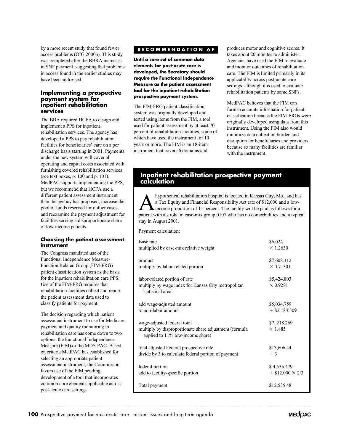by a more recent study that found fewer access problems (OIG 2000b). This study was completed after the BBRA increases in SNF payment, suggesting that problems in access found in the earlier studies may have been addressed.

# **Implementing a prospective payment system for inpatient rehabilitation services**

The BBA required HCFA to design and implement a PPS for inpatient rehabilitation services. The agency has developed a PPS to pay rehabilitation facilities for beneficiaries' care on a per discharge basis starting in 2001. Payments under the new system will cover all operating and capital costs associated with furnishing covered rehabilitation services (see text boxes, p. 100 and p. 101). MedPAC supports implementing the PPS, but we recommend that HCFA use a different patient assessment instrument than the agency has proposed, increase the pool of funds reserved for outlier cases, and reexamine the payment adjustment for facilities serving a disproportionate share of low-income patients.

### **Choosing the patient assessment instrument**

The Congress mandated use of the Functional Independence Measure-Function Related Group (FIM-FRG) patient classification system as the basis for the inpatient rehabilitation care PPS. Use of the FIM-FRG requires that rehabilitation facilities collect and report the patient assessment data used to classify patients for payment.

The decision regarding which patient assessment instrument to use for Medicare payment and quality monitoring in rehabilitation care has come down to two options: the Functional Independence Measure (FIM) or the MDS-PAC. Based on criteria MedPAC has established for selecting an appropriate patient assessment instrument, the Commission favors use of the FIM pending development of a tool that incorporates common core elements applicable across post-acute care settings.

# **RECOMMENDATION 6F**

**Until a core set of common data elements for post-acute care is developed, the Secretary should require the Functional Independence Measure as the patient assessment tool for the inpatient rehabilitation prospective payment system.**

The FIM-FRG patient classification system was originally developed and tested using items from the FIM, a tool used for patient assessment by at least 70 percent of rehabilitation facilities, some of which have used the instrument for 10 years or more. The FIM is an 18-item instrument that covers 6 domains and

produces motor and cognitive scores. It takes about 20 minutes to administer. Agencies have used the FIM to evaluate and monitor outcomes of rehabilitation care. The FIM is limited primarily in its applicability across post-acute care settings, although it is used to evaluate rehabilitation patients by some SNFs.

MedPAC believes that the FIM can furnish accurate information for patient classification because the FIM-FRGs were originally developed using data from this instrument. Using the FIM also would minimize data collection burden and disruption for beneficiaries and providers because so many facilities are familiar with the instrument.

# **Inpatient rehabilitation prospective payment calculation**

Ahypothetical rehabilitation hospital is located in Kansas City, Mo., and has<br>a Tax Equity and Financial Responsibility Act rate of \$12,000 and a low-<br>income proportion of 11 percent. The facility will be paid as follows f a Tax Equity and Financial Responsibility Act rate of \$12,000 and a lowincome proportion of 11 percent. The facility will be paid as follows for a stay in August 2001. patient with a stroke in case-mix group 0107 who has no comorbidities and a typical

Payment calculation:

| Base rate                                                                                                                 | \$6,024                        |
|---------------------------------------------------------------------------------------------------------------------------|--------------------------------|
| multiplied by case-mix relative weight                                                                                    | $\times$ 1.2630                |
| product                                                                                                                   | \$7,608.312                    |
| multiply by labor-related portion                                                                                         | $\times$ 0.71301               |
| labor-related portion of rate<br>multiply by wage index for Kansas City metropolitan<br>statistical area                  | \$5,424.803<br>$\times$ 0.9281 |
| add wage-adjusted amount                                                                                                  | \$5,034.759                    |
| to non-labor amount                                                                                                       | $+$ \$2,183.509                |
| wage-adjusted federal total<br>multiply by disproportionate share adjustment (formula<br>applied to 11% low-income share) | \$7, 218.269<br>$\times$ 1.885 |
| total adjusted Federal prospective rate                                                                                   | \$13,606.44                    |
| divide by 3 to calculate federal portion of payment                                                                       | $\div$ 3                       |
| federal portion                                                                                                           | \$4,535.479                    |
| add to facility-specific portion                                                                                          | $+$ \$12,000 $\times$ 2/3      |
| Total payment                                                                                                             | \$12,535.48                    |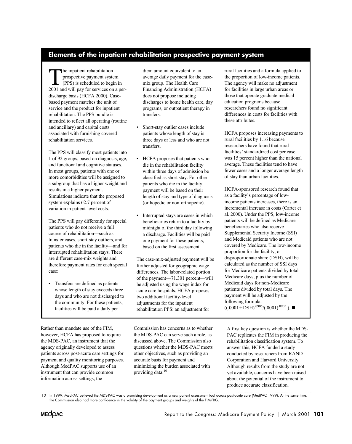# **Elements of the inpatient rehabilitation prospective payment system**

The inpatient rehabilitation<br>prospective payment system<br>(PPS) is scheduled to beg<br>2001 and will nav for services or prospective payment system (PPS) is scheduled to begin in 2001 and will pay for services on a perdischarge basis (HCFA 2000). Casebased payment matches the unit of service and the product for inpatient rehabilitation. The PPS bundle is intended to reflect all operating (routine and ancillary) and capital costs associated with furnishing covered rehabilitation services.

The PPS will classify most patients into 1 of 92 groups, based on diagnosis, age, and functional and cognitive statuses. In most groups, patients with one or more comorbidities will be assigned to a subgroup that has a higher weight and results in a higher payment. Simulations indicate that the proposed system explains 62.7 percent of variation in patient-level costs.

The PPS will pay differently for special patients who do not receive a full course of rehabilitation—such as transfer cases, short-stay outliers, and patients who die in the facility—and for interrupted rehabilitation stays. There are different case-mix weights and therefore payment rates for each special case:

• Transfers are defined as patients whose length of stay exceeds three days and who are not discharged to the community. For these patients, facilities will be paid a daily per

Rather than mandate use of the FIM, however, HCFA has proposed to require the MDS-PAC, an instrument that the agency originally developed to assess patients across post-acute care settings for payment and quality monitoring purposes. Although MedPAC supports use of an instrument that can provide common information across settings, the

diem amount equivalent to an average daily payment for the casemix group. The Health Care Financing Administration (HCFA) does not propose including discharges to home health care, day programs, or outpatient therapy in transfers.

- Short-stay outlier cases include patients whose length of stay is three days or less and who are not transfers.
- HCFA proposes that patients who die in the rehabilitation facility within three days of admission be classified as short stay. For other patients who die in the facility, payment will be based on their length of stay and type of diagnosis (orthopedic or non-orthopedic).
- Interrupted stays are cases in which beneficiaries return to a facility by midnight of the third day following a discharge. Facilities will be paid one payment for these patients, based on the first assessment.

The case-mix-adjusted payment will be further adjusted for geographic wage differences. The labor-related portion of the payment—71.301 percent—will be adjusted using the wage index for acute care hospitals. HCFA proposes two additional facility-level adjustments for the inpatient rehabilitation PPS: an adjustment for

Commission has concerns as to whether the MDS-PAC can serve such a role, as discussed above. The Commission also questions whether the MDS-PAC meets other objectives, such as providing an accurate basis for payment and minimizing the burden associated with providing data.<sup>10</sup>

rural facilities and a formula applied to the proportion of low-income patients. The agency will make no adjustment for facilities in large urban areas or those that operate graduate medical education programs because researchers found no significant differences in costs for facilities with these attributes.

HCFA proposes increasing payments to rural facilities by 1.16 because researchers have found that rural facilities' standardized cost per case was 15 percent higher than the national average. These facilities tend to have fewer cases and a longer average length of stay than urban facilities.

HCFA-sponsored research found that as a facility's percentage of lowincome patients increases, there is an incremental increase in costs (Carter et al. 2000). Under the PPS, low-income patients will be defined as Medicare beneficiaries who also receive Supplemental Security Income (SSI) and Medicaid patients who are not covered by Medicare. The low-income proportion for the facility, or disproportionate share (DSH), will be calculated as the number of SSI days for Medicare patients divided by total Medicare days, plus the number of Medicaid days for non-Medicare patients divided by total days. The payment will be adjusted by the following formula:  $((.0001 + DSH)^{.0905}/(.0001)^{.0905})$ .

A first key question is whether the MDS-PAC replicates the FIM in producing the rehabilitation classification system. To answer this, HCFA funded a study conducted by researchers from RAND Corporation and Harvard University. Although results from the study are not yet available, concerns have been raised about the potential of the instrument to produce accurate classification.

In 1999, MedPAC believed the MDS-PAC was a promising development as a new patient assessment tool across post-acute care (MedPAC 1999). At the same time, the Commission also had more confidence in the validity of the payment groups and weights of the FIM-FRG.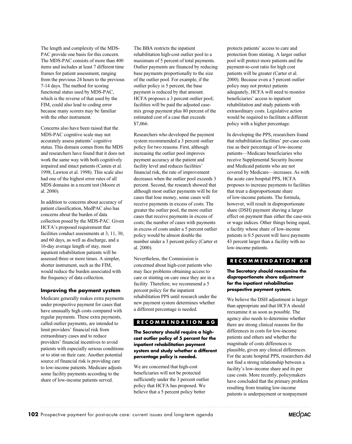regular payments. These extra payments, called outlier payments, are intended to limit providers' financial risk from extraordinary cases and to reduce providers' financial incentives to avoid patients with especially serious conditions

or to stint on their care. Another potential source of financial risk is providing care

### Medicare generally makes extra payments under prospective payment for cases that

have unusually high costs compared with

to low-income patients. Medicare adjusts some facility payments according to the share of low-income patients served.

**Improving the payment system** 

PAC provide one basis for this concern. The MDS-PAC consists of more than 400 items and includes at least 7 different time frames for patient assessment, ranging from the previous 24 hours to the previous 7-14 days. The method for scoring functional status used by MDS-PAC, which is the reverse of that used by the FIM, could also lead to coding error because many scorers may be familiar

Concerns also have been raised that the MDS-PAC cognitive scale may not accurately assess patients' cognitive status. This domain comes from the MDS and researchers have found that it does not work the same way with both cognitively impaired and intact patients (Casten et al. 1998, Lawton et al. 1998). This scale also had one of the highest error rates of all MDS domains in a recent test (Moore et al. 2000).

with the other instrument.

The length and complexity of the MDS-

In addition to concerns about accuracy of patient classification, MedPAC also has concerns about the burden of data collection posed by the MDS-PAC. Given HCFA's proposed requirement that facilities conduct assessments at 3, 11, 30, and 60 days, as well as discharge, and a 16-day average length of stay, most inpatient rehabilitation patients will be shorter instrument, such as the FIM, would reduce the burden associated with the frequency of data collection. assessed three or more times. A simpler,

The BBA restricts the inpatient rehabilitation high-cost outlier pool to a maximum of 5 percent of total payments. Outlier payments are financed by reducing base payments proportionally to the size of the outlier pool. For example, if the outlier policy is 5 percent, the base payment is reduced by that amount. HCFA proposes a 3 percent outlier pool; facilities will be paid the adjusted casemix group payment plus 80 percent of the estimated cost of a case that exceeds \$7,066.

Researchers who developed the payment system recommended a 3 percent outlier policy for two reasons. First, although increasing the outlier pool improves payment accuracy at the patient and facility level and reduces facilities' financial risk, the rate of improvement decreases when the outlier pool exceeds 3 percent. Second, the research showed that although most outlier payments will be for cases that lose money, some cases will receive payments in excess of costs. The greater the outlier pool, the more outlier cases that receive payments in excess of costs; the number of cases with payments in excess of costs under a 5 percent outlier policy would be almost double the number under a 3 percent policy (Carter et al. 2000).

Nevertheless, the Commission is concerned about high-cost patients who may face problems obtaining access to care or stinting on care once they are in a facility. Therefore, we recommend a 5 percent policy for the inpatient rehabilitation PPS until research under the new payment system determines whether a different percentage is needed.

# **RECOMMENDATION 6G**

### **cost outlier policy of 5 percent for the inpatient rehabilitation payment system and study whether a different percentage policy is needed. The Secretary should require a high-**

We are concerned that high-cost beneficiaries will not be protected sufficiently under the 3 percent outlier policy that HCFA has proposed. We believe that a 5 percent policy better

protects patients' access to care and protection from stinting. A larger outlier pool will protect more patients and the payment-to-cost ratio for high cost patients will be greater (Carter et al. 2000). Because even a 5 percent outlier policy may not protect patients adequately, HCFA will need to monitor beneficiaries' access to inpatient rehabilitation and study patients with extraordinary costs. Legislative action would be required to facilitate a different policy with a higher percentage.

In developing the PPS, researchers found that rehabilitation facilities' per-case costs rise as their percentage of low-income patients—Medicare beneficiaries who receive Supplemental Security Income and Medicaid patients who are not covered by Medicare—increases. As with the acute care hospital PPS, HCFA proposes to increase payments to facilities that treat a disproportionate share of low-income patients. The formula, however, will result in disproportionate share (DSH) payment shaving a larger effect on payment than either the case-mix or wage indices. Other things being equal, a facility whose share of low-income patients is 0.5 percent will have payments 43 percent larger than a facility with no low-income patients.

# **RECOMMENDATION 6H**

### **The Secretary should reexamine the disproportionate share adjustment for the inpatient rehabilitation prospective payment system.**

We believe the DSH adjustment is larger than appropriate and that HCFA should reexamine it as soon as possible. The agency also needs to determine whether there are strong clinical reasons for the differences in costs for low-income patients and others and whether the magnitude of costs differences is plausible, given any clinical differences. For the acute hospital PPS, researchers did not find a strong relationship between a facility's low-income share and its per case costs. More recently, policymakers have concluded that the primary problem resulting from treating low-income patients is underpayment or nonpayment

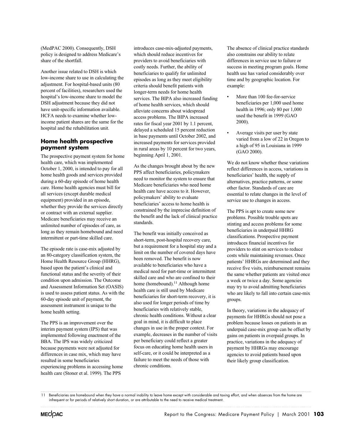(MedPAC 2000). Consequently, DSH policy is designed to address Medicare's share of the shortfall.

Another issue related to DSH is which low-income share to use in calculating the adjustment. For hospital-based units (80 percent of facilities), researchers used the hospital's low-income share to model the DSH adjustment because they did not have unit-specific information available. HCFA needs to examine whether lowincome patient shares are the same for the hospital and the rehabilitation unit.

# **Home health prospective payment system**

The prospective payment system for home health care, which was implemented October 1, 2000, is intended to pay for all home health goods and services provided during a 60-day episode of home health care. Home health agencies must bill for all services (except durable medical equipment) provided in an episode, whether they provide the services directly or contract with an external supplier. Medicare beneficiaries may receive an unlimited number of episodes of care, as long as they remain homebound and need intermittent or part-time skilled care.

The episode rate is case-mix adjusted by an 80-category classification system, the Home Health Resource Group (HHRG), based upon the patient's clinical and functional status and the severity of their condition upon admission. The Outcome and Assessment Information Set (OASIS) is used to assess patient status. As with the 60-day episode unit of payment, the assessment instrument is unique to the home health setting.

The PPS is an improvement over the interim payment system (IPS) that was implemented following enactment of the BBA. The IPS was widely criticized because payments were not adjusted for differences in case mix, which may have resulted in some beneficiaries experiencing problems in accessing home health care (Stoner et al. 1999). The PPS

introduces case-mix-adjusted payments, which should reduce incentives for providers to avoid beneficiaries with costly needs. Further, the ability of beneficiaries to qualify for unlimited episodes as long as they meet eligibility criteria should benefit patients with longer-term needs for home health services. The BIPA also increased funding of home health services, which should alleviate concerns about widespread access problems. The BIPA increased rates for fiscal year 2001 by 1.1 percent, delayed a scheduled 15 percent reduction in base payments until October 2002, and increased payments for services provided in rural areas by 10 percent for two years, beginning April 1, 2001.

As the changes brought about by the new PPS affect beneficiaries, policymakers need to monitor the system to ensure that Medicare beneficiaries who need home health care have access to it. However, policymakers' ability to evaluate beneficiaries' access to home health is constrained by the imprecise definition of the benefit and the lack of clinical practice standards.

The benefit was initially conceived as short-term, post-hospital recovery care, but a requirement for a hospital stay and a limit on the number of covered days have been removed. The benefit is now available to beneficiaries who have a medical need for part-time or intermittent skilled care and who are confined to their home (homebound).<sup>11</sup> Although home health care is still used by Medicare beneficiaries for short-term recovery, it is also used for longer periods of time by beneficiaries with relatively stable, chronic health conditions. Without a clear goal in mind, it is difficult to place changes in use in the proper context. For example, decreases in the number of visits per beneficiary could reflect a greater focus on educating home health users in self-care, or it could be interpreted as a failure to meet the needs of those with chronic conditions.

The absence of clinical practice standards also constrains our ability to relate differences in service use to failure or success in meeting program goals. Home health use has varied considerably over time and by geographic location. For example:

- More than 100 fee-for-service beneficiaries per 1,000 used home health in 1996; only 80 per 1,000 used the benefit in 1999 (GAO 2000).
- Average visits per user by state varied from a low of 22 in Oregon to a high of 95 in Louisiana in 1999 (GAO 2000).

We do not know whether these variations reflect differences in access, variations in beneficiaries' health, the supply of alternatives, practice patterns, or some other factor. Standards of care are essential to relate changes in the level of service use to changes in access.

The PPS is apt to create some new problems. Possible trouble spots are stinting and access problems for some beneficiaries in underpaid HHRG classifications. Prospective payment introduces financial incentives for providers to stint on services to reduce costs while maintaining revenues. Once patients' HHRGs are determined and they receive five visits, reimbursement remains the same whether patients are visited once a week or twice a day. Some agencies may try to avoid admitting beneficiaries who are likely to fall into certain case-mix groups.

In theory, variations in the adequacy of payments for HHRGs should not pose a problem because losses on patients in an underpaid case-mix group can be offset by gains on patients in overpaid groups. In practice, variations in the adequacy of payment by HHRGs may encourage agencies to avoid patients based upon their likely group classification.

<sup>11</sup> Beneficiaries are homebound when they have a normal inability to leave home except with considerable and taxing effort, and when absences from the home are infrequent or for periods of relatively short duration, or are attributable to the need to receive medical treatment.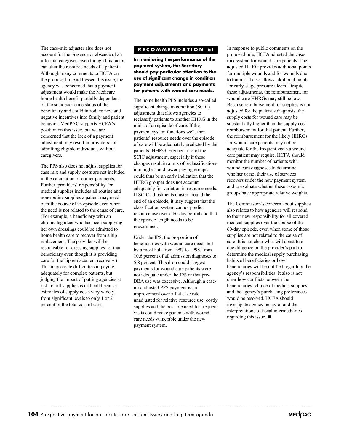The case-mix adjuster also does not account for the presence or absence of an informal caregiver, even though this factor can alter the resource needs of a patient. Although many comments to HCFA on the proposed rule addressed this issue, the agency was concerned that a payment adjustment would make the Medicare home health benefit partially dependent on the socioeconomic status of the beneficiary and could introduce new and negative incentives into family and patient behavior. MedPAC supports HCFA's position on this issue, but we are concerned that the lack of a payment adjustment may result in providers not admitting eligible individuals without caregivers.

The PPS also does not adjust supplies for case mix and supply costs are not included in the calculation of outlier payments. Further, providers' responsibility for medical supplies includes all routine and non-routine supplies a patient may need over the course of an episode even when the need is not related to the cause of care. (For example, a beneficiary with an chronic leg ulcer who has been supplying her own dressings could be admitted to home health care to recover from a hip replacement. The provider will be responsible for dressing supplies for that beneficiary even though it is providing care for the hip replacement recovery.) This may create difficulties in paying adequately for complex patients, but judging the impact of putting agencies at risk for all supplies is difficult because estimates of supply costs vary widely, from significant levels to only 1 or 2 percent of the total cost of care.

# **RECOMMENDATION 6I**

**In monitoring the performance of the payment system, the Secretary should pay particular attention to the use of significant change in condition payment adjustments and payments for patients with wound care needs.**

The home health PPS includes a so-called significant change in condition (SCIC) adjustment that allows agencies to reclassify patients to another HHRG in the midst of an episode of care. If the payment system functions well, then patients' resource needs over the episode of care will be adequately predicted by the patients' HHRG. Frequent use of the SCIC adjustment, especially if these changes result in a mix of reclassifications into higher- and lower-paying groups, could thus be an early indication that the HHRG grouper does not account adequately for variation in resource needs. If SCIC adjustments cluster around the end of an episode, it may suggest that the classification system cannot predict resource use over a 60-day period and that the episode length needs to be reexamined.

Under the IPS, the proportion of beneficiaries with wound care needs fell by almost half from 1997 to 1998, from 10.6 percent of all admission diagnoses to 5.8 percent. This drop could suggest payments for wound care patients were not adequate under the IPS or that pre-BBA use was excessive. Although a casemix adjusted PPS payment is an improvement over a flat case rate unadjusted for relative resource use, costly supplies and the possible need for frequent visits could make patients with wound care needs vulnerable under the new payment system.

In response to public comments on the proposed rule, HCFA adjusted the casemix system for wound care patients. The adjusted HHRG provides additional points for multiple wounds and for wounds due to trauma. It also allows additional points for early-stage pressure ulcers. Despite these adjustments, the reimbursement for wound care HHRGs may still be low. Because reimbursement for supplies is not adjusted for the patient's diagnosis, the supply costs for wound care may be substantially higher than the supply cost reimbursement for that patient. Further, the reimbursement for the likely HHRGs for wound care patients may not be adequate for the frequent visits a wound care patient may require. HCFA should monitor the number of patients with wound care diagnoses to determine whether or not their use of services recovers under the new payment system and to evaluate whether these case-mix groups have appropriate relative weights.

The Commission's concern about supplies also relates to how agencies will respond to their new responsibility for all covered medical supplies over the course of the 60-day episode, even when some of those supplies are not related to the cause of care. It is not clear what will constitute due diligence on the provider's part to determine the medical supply purchasing habits of beneficiaries or how beneficiaries will be notified regarding the agency's responsibilities. It also is not clear how conflicts between the beneficiaries' choice of medical supplies and the agency's purchasing preferences would be resolved. HCFA should investigate agency behavior and the interpretations of fiscal intermediaries regarding this issue.  $\blacksquare$ 

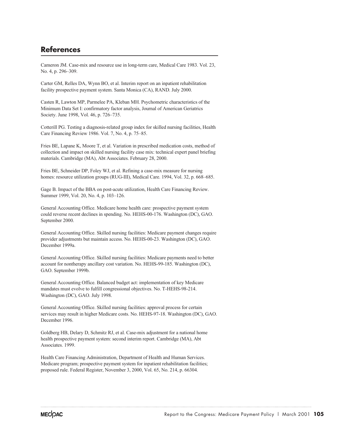# **References**

Cameron JM. Case-mix and resource use in long-term care, Medical Care 1983. Vol. 23, No. 4, p. 296–309.

Carter GM, Relles DA, Wynn BO, et al. Interim report on an inpatient rehabilitation facility prospective payment system. Santa Monica (CA), RAND. July 2000.

Casten R, Lawton MP, Parmelee PA, Kleban MH. Psychometric characteristics of the Minimum Data Set I: confirmatory factor analysis, Journal of American Geriatrics Society. June 1998, Vol. 46, p. 726–735.

Cotterill PG. Testing a diagnosis-related group index for skilled nursing facilities, Health Care Financing Review 1986. Vol. 7, No. 4, p. 75–85.

Fries BE, Lapane K, Moore T, et al. Variation in prescribed medication costs, method of collection and impact on skilled nursing facility case mix: technical expert panel briefing materials. Cambridge (MA), Abt Associates. February 28, 2000.

Fries BE, Schneider DP, Foley WJ, et al. Refining a case-mix measure for nursing homes: resource utilization groups (RUG-III), Medical Care. 1994, Vol. 32, p. 668–685.

Gage B. Impact of the BBA on post-acute utilization, Health Care Financing Review. Summer 1999, Vol. 20, No. 4, p. 103–126.

General Accounting Office. Medicare home health care: prospective payment system could reverse recent declines in spending. No. HEHS-00-176. Washington (DC), GAO. September 2000.

General Accounting Office. Skilled nursing facilities: Medicare payment changes require provider adjustments but maintain access. No. HEHS-00-23. Washington (DC), GAO. December 1999a.

General Accounting Office. Skilled nursing facilities: Medicare payments need to better account for nontherapy ancillary cost variation. No. HEHS-99-185. Washington (DC), GAO. September 1999b.

General Accounting Office. Balanced budget act: implementation of key Medicare mandates must evolve to fulfill congressional objectives. No. T-HEHS-98-214. Washington (DC), GAO. July 1998.

General Accounting Office. Skilled nursing facilities: approval process for certain services may result in higher Medicare costs. No. HEHS-97-18. Washington (DC), GAO. December 1996.

Goldberg HB, Delary D, Schmitz RJ, et al. Case-mix adjustment for a national home health prospective payment system: second interim report. Cambridge (MA), Abt Associates. 1999.

Health Care Financing Administration, Department of Health and Human Services. Medicare program; prospective payment system for inpatient rehabilitation facilities; proposed rule. Federal Register, November 3, 2000, Vol. 65, No. 214, p. 66304.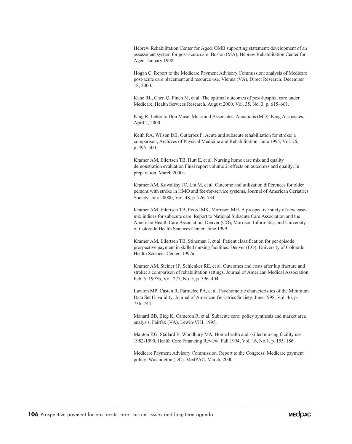Hebrew Rehabilitation Center for Aged. OMB supporting statement: development of an assessment system for post-acute care. Boston (MA), Hebrew Rehabilitation Center for Aged. January 1998.

Hogan C. Report to the Medicare Payment Advisory Commission: analysis of Medicare post-acute care placement and resource use. Vienna (VA), Direct Research. December 18, 2000.

Kane RL, Chen Q, Finch M, et al. The optimal outcomes of post-hospital care under Medicare, Health Services Research. August 2000, Vol. 35, No. 3, p. 615–661.

King R. Letter to Don Muse, Muse and Associates. Annapolis (MD), King Associates. April 2, 2000.

Keith RA, Wilson DB, Gutierrez P. Acute and subacute rehabilitation for stroke: a comparison, Archives of Physical Medicine and Rehabilitation. June 1995, Vol. 76, p. 495–500.

Kramer AM, Eilertsen TB, Hutt E, et al. Nursing home case mix and quality demonstration evaluation Final report volume 2: effects on outcomes and quality. In preparation. March 2000a.

Kramer AM, Kowalksy JC, Lin M, et al. Outcome and utilization differences for older persons with stroke in HMO and fee-for-service systems, Journal of American Geriatrics Society. July 2000b, Vol. 48, p. 726–734.

Kramer AM, Eilertsen TB, Ecord MK, Morrison MH. A prospective study of new casemix indices for subacute care. Report to National Subacute Care Association and the American Health Care Association. Denver (CO), Morrison Informatics and University of Colorado Health Sciences Center. June 1999.

Kramer AM, Eilertsen TB, Stineman J, et al. Patient classification for per episode prospective payment in skilled nursing facilities. Denver (CO), University of Colorado Health Sciences Center. 1997a.

Kramer AM, Steiner JF, Schlenker RE, et al. Outcomes and costs after hip fracture and stroke: a comparison of rehabilitation settings, Journal of American Medical Association. Feb. 5, 1997b, Vol. 277, No. 5, p. 396–404.

Lawton MP, Casten R, Parmelee PA, et al. Psychometric characteristics of the Minimum Data Set II: validity, Journal of American Geriatrics Society. June 1998, Vol. 46, p. 736–744.

Manard BB, Bieg K, Cameron R, et al. Subacute care: policy synthesis and market area analysis. Fairfax (VA), Lewin-VHI. 1995.

Manton KG, Stallard E, Woodbury MA. Home health and skilled nursing facility use: 1982-1990, Health Care Financing Review. Fall 1994, Vol. 16, No.1, p. 155–186.

Medicare Payment Advisory Commission. Report to the Congress: Medicare payment policy. Washington (DC). MedPAC. March, 2000.